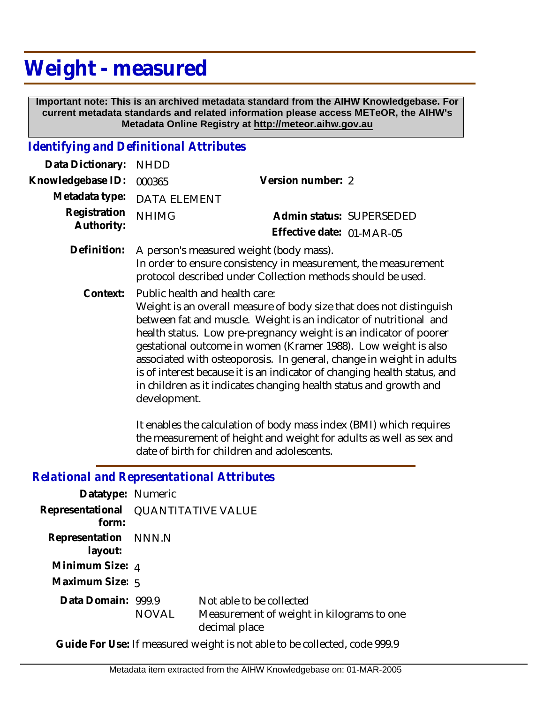## **Weight - measured**

 **Important note: This is an archived metadata standard from the AIHW Knowledgebase. For current metadata standards and related information please access METeOR, the AIHW's Metadata Online Registry at http://meteor.aihw.gov.au**

## *Identifying and Definitional Attributes*

| Data Dictionary:           | <b>NHDD</b>                                                                                                                                                                                                                                                                                                                                                                                                                                                                                                                                                                                                                                                                                            |                                                       |  |
|----------------------------|--------------------------------------------------------------------------------------------------------------------------------------------------------------------------------------------------------------------------------------------------------------------------------------------------------------------------------------------------------------------------------------------------------------------------------------------------------------------------------------------------------------------------------------------------------------------------------------------------------------------------------------------------------------------------------------------------------|-------------------------------------------------------|--|
| Knowledgebase ID:          | 000365                                                                                                                                                                                                                                                                                                                                                                                                                                                                                                                                                                                                                                                                                                 | Version number: 2                                     |  |
| Metadata type:             | <b>DATA ELEMENT</b>                                                                                                                                                                                                                                                                                                                                                                                                                                                                                                                                                                                                                                                                                    |                                                       |  |
| Registration<br>Authority: | <b>NHIMG</b>                                                                                                                                                                                                                                                                                                                                                                                                                                                                                                                                                                                                                                                                                           | Admin status: SUPERSEDED<br>Effective date: 01-MAR-05 |  |
| Definition:                | A person's measured weight (body mass).<br>In order to ensure consistency in measurement, the measurement<br>protocol described under Collection methods should be used.                                                                                                                                                                                                                                                                                                                                                                                                                                                                                                                               |                                                       |  |
| Context:                   | Public health and health care:<br>Weight is an overall measure of body size that does not distinguish<br>between fat and muscle. Weight is an indicator of nutritional and<br>health status. Low pre-pregnancy weight is an indicator of poorer<br>gestational outcome in women (Kramer 1988). Low weight is also<br>associated with osteoporosis. In general, change in weight in adults<br>is of interest because it is an indicator of changing health status, and<br>in children as it indicates changing health status and growth and<br>development.<br>It enables the calculation of body mass index (BMI) which requires<br>the measurement of height and weight for adults as well as sex and |                                                       |  |
|                            |                                                                                                                                                                                                                                                                                                                                                                                                                                                                                                                                                                                                                                                                                                        | date of birth for children and adolescents.           |  |
|                            | <b>Relational and Representational Attributes</b>                                                                                                                                                                                                                                                                                                                                                                                                                                                                                                                                                                                                                                                      |                                                       |  |
| Datatype: Numeric          |                                                                                                                                                                                                                                                                                                                                                                                                                                                                                                                                                                                                                                                                                                        |                                                       |  |
| Representational<br>form:  | <b>QUANTITATIVE VALUE</b>                                                                                                                                                                                                                                                                                                                                                                                                                                                                                                                                                                                                                                                                              |                                                       |  |
| Representation<br>layout:  | NNN.N                                                                                                                                                                                                                                                                                                                                                                                                                                                                                                                                                                                                                                                                                                  |                                                       |  |

**Minimum Size:** 4

**Maximum Size:** 5

Data Domain: 999.9 NOVAL Not able to be collected Measurement of weight in kilograms to one decimal place

**Guide For Use:** If measured weight is not able to be collected, code 999.9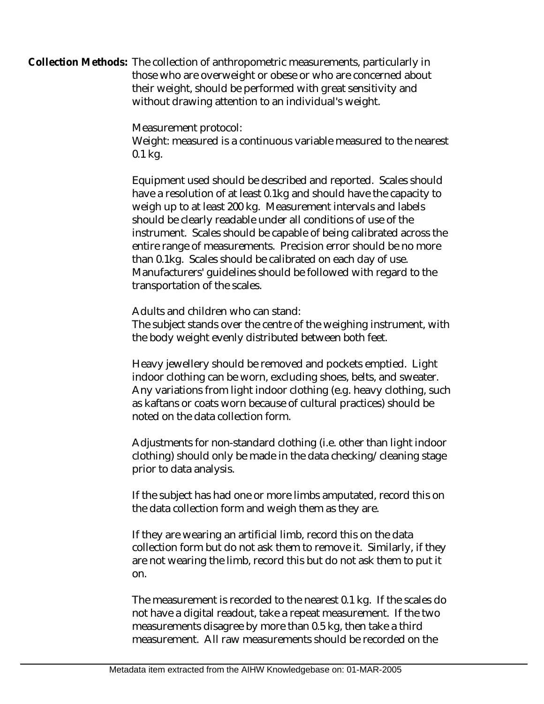Collection Methods: The collection of anthropometric measurements, particularly in those who are overweight or obese or who are concerned about their weight, should be performed with great sensitivity and without drawing attention to an individual's weight.

Measurement protocol:

Weight: measured is a continuous variable measured to the nearest 0.1 kg.

Equipment used should be described and reported. Scales should have a resolution of at least 0.1kg and should have the capacity to weigh up to at least 200 kg. Measurement intervals and labels should be clearly readable under all conditions of use of the instrument. Scales should be capable of being calibrated across the entire range of measurements. Precision error should be no more than 0.1kg. Scales should be calibrated on each day of use. Manufacturers' guidelines should be followed with regard to the transportation of the scales.

Adults and children who can stand:

The subject stands over the centre of the weighing instrument, with the body weight evenly distributed between both feet.

Heavy jewellery should be removed and pockets emptied. Light indoor clothing can be worn, excluding shoes, belts, and sweater. Any variations from light indoor clothing (e.g. heavy clothing, such as kaftans or coats worn because of cultural practices) should be noted on the data collection form.

Adjustments for non-standard clothing (i.e. other than light indoor clothing) should only be made in the data checking/cleaning stage prior to data analysis.

If the subject has had one or more limbs amputated, record this on the data collection form and weigh them as they are.

If they are wearing an artificial limb, record this on the data collection form but do not ask them to remove it. Similarly, if they are not wearing the limb, record this but do not ask them to put it on.

The measurement is recorded to the nearest 0.1 kg. If the scales do not have a digital readout, take a repeat measurement. If the two measurements disagree by more than 0.5 kg, then take a third measurement. All raw measurements should be recorded on the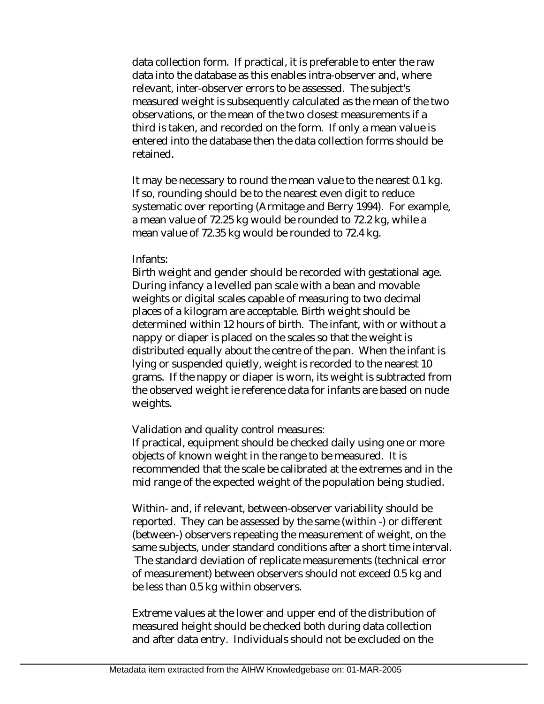data collection form. If practical, it is preferable to enter the raw data into the database as this enables intra-observer and, where relevant, inter-observer errors to be assessed. The subject's measured weight is subsequently calculated as the mean of the two observations, or the mean of the two closest measurements if a third is taken, and recorded on the form. If only a mean value is entered into the database then the data collection forms should be retained.

It may be necessary to round the mean value to the nearest 0.1 kg. If so, rounding should be to the nearest even digit to reduce systematic over reporting (Armitage and Berry 1994). For example, a mean value of 72.25 kg would be rounded to 72.2 kg, while a mean value of 72.35 kg would be rounded to 72.4 kg.

## Infants:

Birth weight and gender should be recorded with gestational age. During infancy a levelled pan scale with a bean and movable weights or digital scales capable of measuring to two decimal places of a kilogram are acceptable. Birth weight should be determined within 12 hours of birth. The infant, with or without a nappy or diaper is placed on the scales so that the weight is distributed equally about the centre of the pan. When the infant is lying or suspended quietly, weight is recorded to the nearest 10 grams. If the nappy or diaper is worn, its weight is subtracted from the observed weight ie reference data for infants are based on nude weights.

Validation and quality control measures:

If practical, equipment should be checked daily using one or more objects of known weight in the range to be measured. It is recommended that the scale be calibrated at the extremes and in the mid range of the expected weight of the population being studied.

Within- and, if relevant, between-observer variability should be reported. They can be assessed by the same (within -) or different (between-) observers repeating the measurement of weight, on the same subjects, under standard conditions after a short time interval. The standard deviation of replicate measurements (technical error of measurement) between observers should not exceed 0.5 kg and be less than 0.5 kg within observers.

Extreme values at the lower and upper end of the distribution of measured height should be checked both during data collection and after data entry. Individuals should not be excluded on the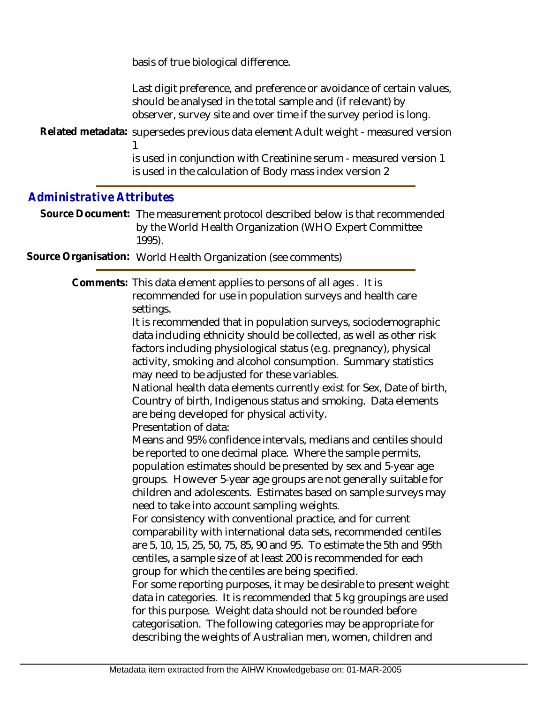basis of true biological difference.

Last digit preference, and preference or avoidance of certain values, should be analysed in the total sample and (if relevant) by observer, survey site and over time if the survey period is long.

Related metadata: supersedes previous data element Adult weight - measured version

is used in conjunction with Creatinine serum - measured version 1 is used in the calculation of Body mass index version 2

## *Administrative Attributes*

1

Source Document: The measurement protocol described below is that recommended by the World Health Organization (WHO Expert Committee 1995).

**Source Organisation:** World Health Organization (see comments)

Comments: This data element applies to persons of all ages . It is recommended for use in population surveys and health care settings.

It is recommended that in population surveys, sociodemographic data including ethnicity should be collected, as well as other risk factors including physiological status (e.g. pregnancy), physical activity, smoking and alcohol consumption. Summary statistics may need to be adjusted for these variables.

National health data elements currently exist for Sex, Date of birth, Country of birth, Indigenous status and smoking. Data elements are being developed for physical activity. Presentation of data:

Means and 95% confidence intervals, medians and centiles should be reported to one decimal place. Where the sample permits, population estimates should be presented by sex and 5-year age groups. However 5-year age groups are not generally suitable for children and adolescents. Estimates based on sample surveys may need to take into account sampling weights.

For consistency with conventional practice, and for current comparability with international data sets, recommended centiles are 5, 10, 15, 25, 50, 75, 85, 90 and 95. To estimate the 5th and 95th centiles, a sample size of at least 200 is recommended for each group for which the centiles are being specified.

For some reporting purposes, it may be desirable to present weight data in categories. It is recommended that 5 kg groupings are used for this purpose. Weight data should not be rounded before categorisation. The following categories may be appropriate for describing the weights of Australian men, women, children and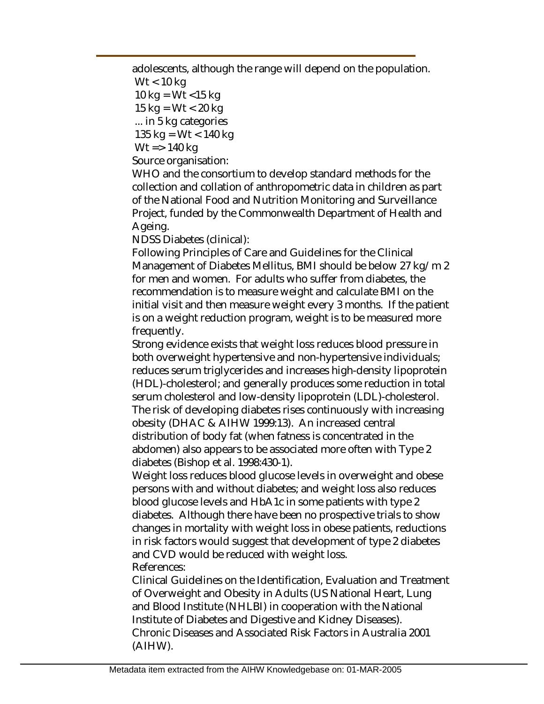adolescents, although the range will depend on the population.

Wt < 10 kg

10 kg =  $Wt$  <15 kg

15 kg =  $Wt < 20$  kg

... in 5 kg categories

135 kg = Wt < 140 kg  $Wt = 140$  kg

Source organisation:

WHO and the consortium to develop standard methods for the collection and collation of anthropometric data in children as part of the National Food and Nutrition Monitoring and Surveillance Project, funded by the Commonwealth Department of Health and Ageing.

NDSS Diabetes (clinical):

Following Principles of Care and Guidelines for the Clinical Management of Diabetes Mellitus, BMI should be below 27 kg/m 2 for men and women. For adults who suffer from diabetes, the recommendation is to measure weight and calculate BMI on the initial visit and then measure weight every 3 months. If the patient is on a weight reduction program, weight is to be measured more frequently.

Strong evidence exists that weight loss reduces blood pressure in both overweight hypertensive and non-hypertensive individuals; reduces serum triglycerides and increases high-density lipoprotein (HDL)-cholesterol; and generally produces some reduction in total serum cholesterol and low-density lipoprotein (LDL)-cholesterol. The risk of developing diabetes rises continuously with increasing obesity (DHAC & AIHW 1999:13). An increased central distribution of body fat (when fatness is concentrated in the abdomen) also appears to be associated more often with Type 2 diabetes (Bishop et al. 1998:430-1).

Weight loss reduces blood glucose levels in overweight and obese persons with and without diabetes; and weight loss also reduces blood glucose levels and HbA1c in some patients with type 2 diabetes. Although there have been no prospective trials to show changes in mortality with weight loss in obese patients, reductions in risk factors would suggest that development of type 2 diabetes and CVD would be reduced with weight loss. References:

Clinical Guidelines on the Identification, Evaluation and Treatment of Overweight and Obesity in Adults (US National Heart, Lung and Blood Institute (NHLBI) in cooperation with the National Institute of Diabetes and Digestive and Kidney Diseases). Chronic Diseases and Associated Risk Factors in Australia 2001 (AIHW).